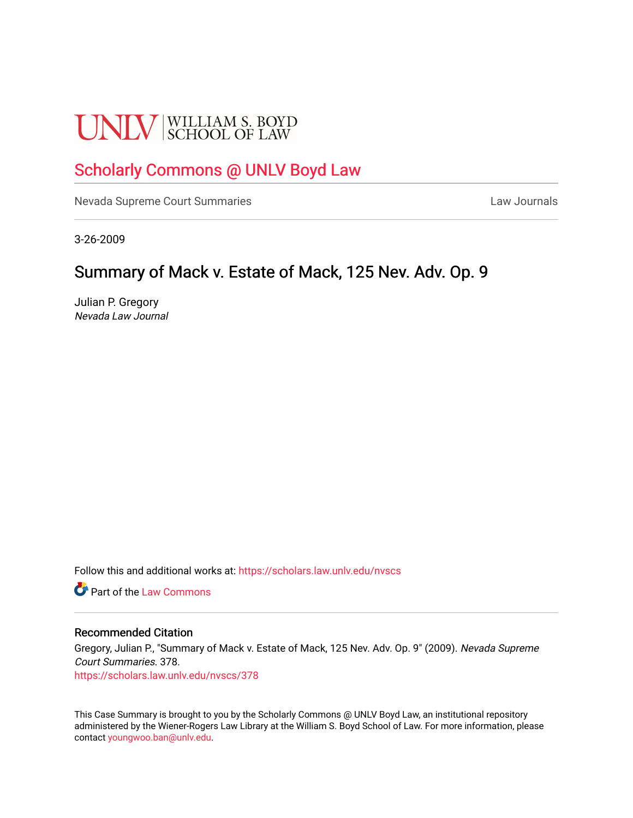# **UNLV** SCHOOL OF LAW

# [Scholarly Commons @ UNLV Boyd Law](https://scholars.law.unlv.edu/)

[Nevada Supreme Court Summaries](https://scholars.law.unlv.edu/nvscs) **Law Journals** Law Journals

3-26-2009

## Summary of Mack v. Estate of Mack, 125 Nev. Adv. Op. 9

Julian P. Gregory Nevada Law Journal

Follow this and additional works at: [https://scholars.law.unlv.edu/nvscs](https://scholars.law.unlv.edu/nvscs?utm_source=scholars.law.unlv.edu%2Fnvscs%2F378&utm_medium=PDF&utm_campaign=PDFCoverPages)

**C** Part of the [Law Commons](http://network.bepress.com/hgg/discipline/578?utm_source=scholars.law.unlv.edu%2Fnvscs%2F378&utm_medium=PDF&utm_campaign=PDFCoverPages)

#### Recommended Citation

Gregory, Julian P., "Summary of Mack v. Estate of Mack, 125 Nev. Adv. Op. 9" (2009). Nevada Supreme Court Summaries. 378.

[https://scholars.law.unlv.edu/nvscs/378](https://scholars.law.unlv.edu/nvscs/378?utm_source=scholars.law.unlv.edu%2Fnvscs%2F378&utm_medium=PDF&utm_campaign=PDFCoverPages)

This Case Summary is brought to you by the Scholarly Commons @ UNLV Boyd Law, an institutional repository administered by the Wiener-Rogers Law Library at the William S. Boyd School of Law. For more information, please contact [youngwoo.ban@unlv.edu](mailto:youngwoo.ban@unlv.edu).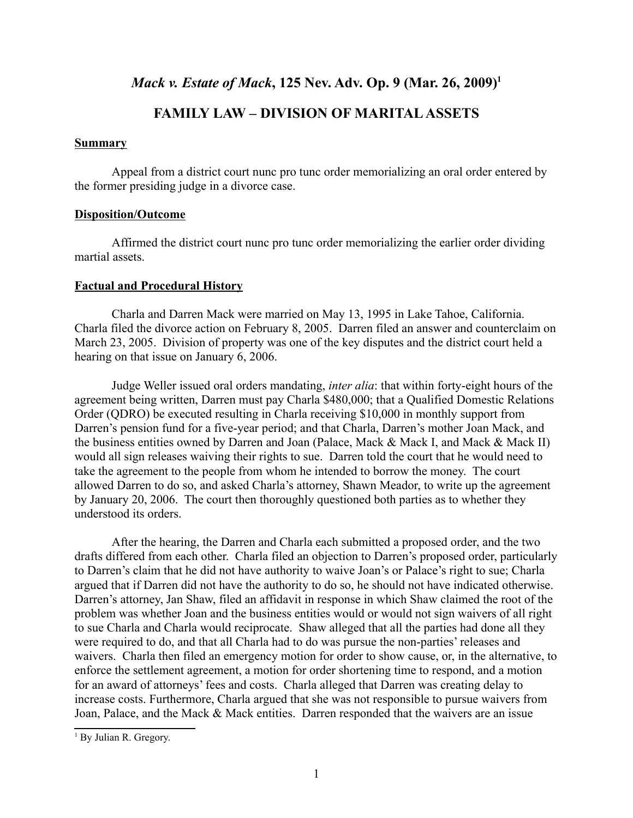## *Mack v. Estate of Mack*, 125 Nev. Adv. Op. 9 (Mar. 26, 2009)<sup>1</sup>

## **FAMILY LAW – DIVISION OF MARITAL ASSETS**

#### **Summary**

Appeal from a district court nunc pro tunc order memorializing an oral order entered by the former presiding judge in a divorce case.

#### **Disposition/Outcome**

Affirmed the district court nunc pro tunc order memorializing the earlier order dividing martial assets.

#### **Factual and Procedural History**

Charla and Darren Mack were married on May 13, 1995 in Lake Tahoe, California. Charla filed the divorce action on February 8, 2005. Darren filed an answer and counterclaim on March 23, 2005. Division of property was one of the key disputes and the district court held a hearing on that issue on January 6, 2006.

Judge Weller issued oral orders mandating, *inter alia*: that within forty-eight hours of the agreement being written, Darren must pay Charla \$480,000; that a Qualified Domestic Relations Order (QDRO) be executed resulting in Charla receiving \$10,000 in monthly support from Darren's pension fund for a five-year period; and that Charla, Darren's mother Joan Mack, and the business entities owned by Darren and Joan (Palace, Mack & Mack I, and Mack & Mack II) would all sign releases waiving their rights to sue. Darren told the court that he would need to take the agreement to the people from whom he intended to borrow the money. The court allowed Darren to do so, and asked Charla's attorney, Shawn Meador, to write up the agreement by January 20, 2006. The court then thoroughly questioned both parties as to whether they understood its orders.

After the hearing, the Darren and Charla each submitted a proposed order, and the two drafts differed from each other. Charla filed an objection to Darren's proposed order, particularly to Darren's claim that he did not have authority to waive Joan's or Palace's right to sue; Charla argued that if Darren did not have the authority to do so, he should not have indicated otherwise. Darren's attorney, Jan Shaw, filed an affidavit in response in which Shaw claimed the root of the problem was whether Joan and the business entities would or would not sign waivers of all right to sue Charla and Charla would reciprocate. Shaw alleged that all the parties had done all they were required to do, and that all Charla had to do was pursue the non-parties' releases and waivers. Charla then filed an emergency motion for order to show cause, or, in the alternative, to enforce the settlement agreement, a motion for order shortening time to respond, and a motion for an award of attorneys' fees and costs. Charla alleged that Darren was creating delay to increase costs. Furthermore, Charla argued that she was not responsible to pursue waivers from Joan, Palace, and the Mack & Mack entities. Darren responded that the waivers are an issue

<sup>&</sup>lt;sup>1</sup> By Julian R. Gregory.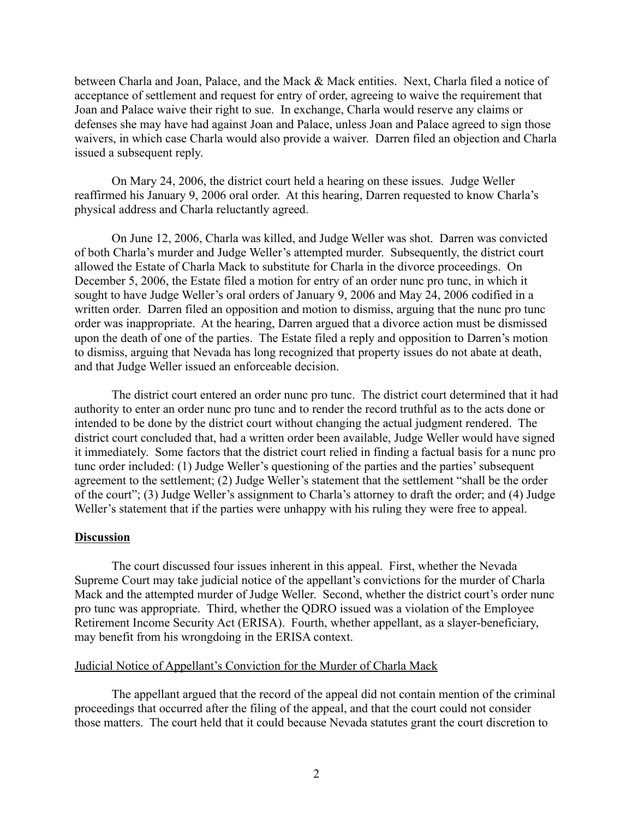between Charla and Joan, Palace, and the Mack & Mack entities. Next, Charla filed a notice of acceptance of settlement and request for entry of order, agreeing to waive the requirement that Joan and Palace waive their right to sue. In exchange, Charla would reserve any claims or defenses she may have had against Joan and Palace, unless Joan and Palace agreed to sign those waivers, in which case Charla would also provide a waiver. Darren filed an objection and Charla issued a subsequent reply.

On Mary 24, 2006, the district court held a hearing on these issues. Judge Weller reaffirmed his January 9, 2006 oral order. At this hearing, Darren requested to know Charla's physical address and Charla reluctantly agreed.

On June 12, 2006, Charla was killed, and Judge Weller was shot. Darren was convicted of both Charla's murder and Judge Weller's attempted murder. Subsequently, the district court allowed the Estate of Charla Mack to substitute for Charla in the divorce proceedings. On December 5, 2006, the Estate filed a motion for entry of an order nunc pro tunc, in which it sought to have Judge Weller's oral orders of January 9, 2006 and May 24, 2006 codified in a written order. Darren filed an opposition and motion to dismiss, arguing that the nunc pro tunc order was inappropriate. At the hearing, Darren argued that a divorce action must be dismissed upon the death of one of the parties. The Estate filed a reply and opposition to Darren's motion to dismiss, arguing that Nevada has long recognized that property issues do not abate at death, and that Judge Weller issued an enforceable decision.

The district court entered an order nunc pro tunc. The district court determined that it had authority to enter an order nunc pro tunc and to render the record truthful as to the acts done or intended to be done by the district court without changing the actual judgment rendered. The district court concluded that, had a written order been available, Judge Weller would have signed it immediately. Some factors that the district court relied in finding a factual basis for a nunc pro tunc order included: (1) Judge Weller's questioning of the parties and the parties' subsequent agreement to the settlement; (2) Judge Weller's statement that the settlement "shall be the order of the court"; (3) Judge Weller's assignment to Charla's attorney to draft the order; and (4) Judge Weller's statement that if the parties were unhappy with his ruling they were free to appeal.

#### **Discussion**

The court discussed four issues inherent in this appeal. First, whether the Nevada Supreme Court may take judicial notice of the appellant's convictions for the murder of Charla Mack and the attempted murder of Judge Weller. Second, whether the district court's order nunc pro tunc was appropriate. Third, whether the QDRO issued was a violation of the Employee Retirement Income Security Act (ERISA). Fourth, whether appellant, as a slayer-beneficiary, may benefit from his wrongdoing in the ERISA context.

#### Judicial Notice of Appellant's Conviction for the Murder of Charla Mack

The appellant argued that the record of the appeal did not contain mention of the criminal proceedings that occurred after the filing of the appeal, and that the court could not consider those matters. The court held that it could because Nevada statutes grant the court discretion to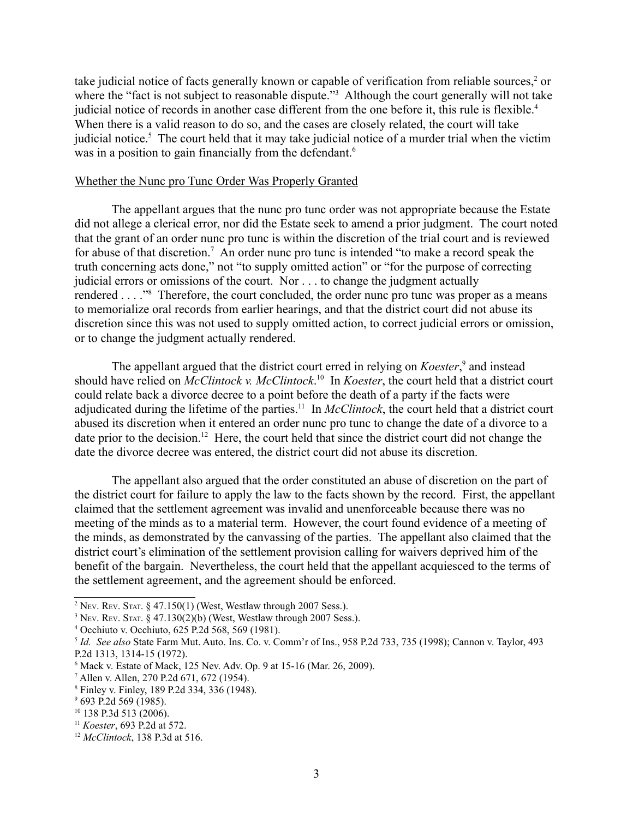take judicial notice of facts generally known or capable of verification from reliable sources,<sup>2</sup> or where the "fact is not subject to reasonable dispute."<sup>3</sup> Although the court generally will not take judicial notice of records in another case different from the one before it, this rule is flexible.<sup>4</sup> When there is a valid reason to do so, and the cases are closely related, the court will take judicial notice.<sup>5</sup> The court held that it may take judicial notice of a murder trial when the victim was in a position to gain financially from the defendant.<sup>6</sup>

#### Whether the Nunc pro Tunc Order Was Properly Granted

The appellant argues that the nunc pro tunc order was not appropriate because the Estate did not allege a clerical error, nor did the Estate seek to amend a prior judgment. The court noted that the grant of an order nunc pro tunc is within the discretion of the trial court and is reviewed for abuse of that discretion.<sup>7</sup> An order nunc pro tunc is intended "to make a record speak the truth concerning acts done," not "to supply omitted action" or "for the purpose of correcting judicial errors or omissions of the court. Nor . . . to change the judgment actually rendered . . . ."<sup>8</sup> Therefore, the court concluded, the order nunc pro tunc was proper as a means to memorialize oral records from earlier hearings, and that the district court did not abuse its discretion since this was not used to supply omitted action, to correct judicial errors or omission, or to change the judgment actually rendered.

The appellant argued that the district court erred in relying on *Koester*,<sup>9</sup> and instead should have relied on *McClintock v. McClintock*. 10 In *Koester*, the court held that a district court could relate back a divorce decree to a point before the death of a party if the facts were adjudicated during the lifetime of the parties.11 In *McClintock*, the court held that a district court abused its discretion when it entered an order nunc pro tunc to change the date of a divorce to a date prior to the decision.<sup>12</sup> Here, the court held that since the district court did not change the date the divorce decree was entered, the district court did not abuse its discretion.

The appellant also argued that the order constituted an abuse of discretion on the part of the district court for failure to apply the law to the facts shown by the record. First, the appellant claimed that the settlement agreement was invalid and unenforceable because there was no meeting of the minds as to a material term. However, the court found evidence of a meeting of the minds, as demonstrated by the canvassing of the parties. The appellant also claimed that the district court's elimination of the settlement provision calling for waivers deprived him of the benefit of the bargain. Nevertheless, the court held that the appellant acquiesced to the terms of the settlement agreement, and the agreement should be enforced.

<sup>&</sup>lt;sup>2</sup> Nev. Rev. Stat. § 47.150(1) (West, Westlaw through 2007 Sess.).

<sup>&</sup>lt;sup>3</sup> Nev. Rev. Stat. §  $47.130(2)(b)$  (West, Westlaw through 2007 Sess.).

<sup>4</sup> Occhiuto v. Occhiuto, 625 P.2d 568, 569 (1981).

<sup>5</sup> *Id. See also* State Farm Mut. Auto. Ins. Co. v. Comm'r of Ins., 958 P.2d 733, 735 (1998); Cannon v. Taylor, 493 P.2d 1313, 1314-15 (1972).

<sup>6</sup> Mack v. Estate of Mack, 125 Nev. Adv. Op. 9 at 15-16 (Mar. 26, 2009).

<sup>7</sup> Allen v. Allen, 270 P.2d 671, 672 (1954).

<sup>8</sup> Finley v. Finley, 189 P.2d 334, 336 (1948).

<sup>&</sup>lt;sup>9</sup> 693 P.2d 569 (1985).

<sup>10 138</sup> P.3d 513 (2006).

<sup>11</sup> *Koester*, 693 P.2d at 572.

<sup>12</sup> *McClintock*, 138 P.3d at 516.